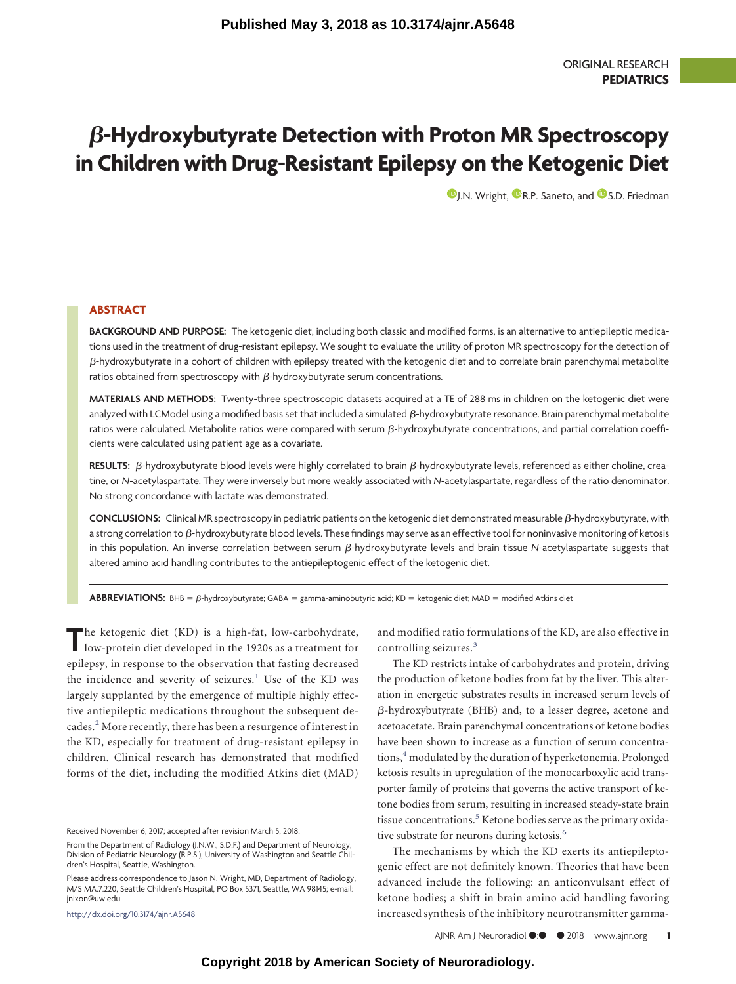# $\boldsymbol{\beta}$ -Hydroxybutyrate Detection with Proton MR Spectroscopy **in Children with Drug-Resistant Epilepsy on the Ketogenic Diet**

**D**[J.N. Wright,](https://orcid.org/0000-0002-6349-4330) **D**[R.P. Saneto,](https://orcid.org/0000-0002-7250-2347) and **D**[S.D. Friedman](https://orcid.org/0000-0001-8785-7215)

# **ABSTRACT**

**BACKGROUND AND PURPOSE:** The ketogenic diet, including both classic and modified forms, is an alternative to antiepileptic medications used in the treatment of drug-resistant epilepsy. We sought to evaluate the utility of proton MR spectroscopy for the detection of β-hydroxybutyrate in a cohort of children with epilepsy treated with the ketogenic diet and to correlate brain parenchymal metabolite ratios obtained from spectroscopy with  $\beta$ -hydroxybutyrate serum concentrations.

**MATERIALS AND METHODS:** Twenty-three spectroscopic datasets acquired at a TE of 288 ms in children on the ketogenic diet were analyzed with LCModel using a modified basis set that included a simulated β-hydroxybutyrate resonance. Brain parenchymal metabolite ratios were calculated. Metabolite ratios were compared with serum  $\beta$ -hydroxybutyrate concentrations, and partial correlation coefficients were calculated using patient age as a covariate.

**RESULTS:**  $\beta$ -hydroxybutyrate blood levels were highly correlated to brain  $\beta$ -hydroxybutyrate levels, referenced as either choline, creatine, or *N*-acetylaspartate. They were inversely but more weakly associated with *N*-acetylaspartate, regardless of the ratio denominator. No strong concordance with lactate was demonstrated.

**CONCLUSIONS:** Clinical MR spectroscopy in pediatric patients on the ketogenic diet demonstrated measurable β-hydroxybutyrate, with a strong correlation to  $\beta$ -hydroxybutyrate blood levels. These findings may serve as an effective tool for noninvasive monitoring of ketosis in this population. An inverse correlation between serum ß-hydroxybutyrate levels and brain tissue N-acetylaspartate suggests that altered amino acid handling contributes to the antiepileptogenic effect of the ketogenic diet.

**ABBREVIATIONS:** BHB = β-hydroxybutyrate; GABA = gamma-aminobutyric acid; KD = ketogenic diet; MAD = modified Atkins diet

The ketogenic diet (KD) is a high-fat, low-carbohydrate, low-protein diet developed in the 1920s as a treatment for epilepsy, in response to the observation that fasting decreased the incidence and severity of seizures. $<sup>1</sup>$  $<sup>1</sup>$  $<sup>1</sup>$  Use of the KD was</sup> largely supplanted by the emergence of multiple highly effective antiepileptic medications throughout the subsequent decades.[2](#page-4-1) More recently, there has been a resurgence of interest in the KD, especially for treatment of drug-resistant epilepsy in children. Clinical research has demonstrated that modified forms of the diet, including the modified Atkins diet (MAD)

http://dx.doi.org/10.3174/ajnr.A5648

and modified ratio formulations of the KD, are also effective in controlling seizures.<sup>[3](#page-4-2)</sup>

The KD restricts intake of carbohydrates and protein, driving the production of ketone bodies from fat by the liver. This alteration in energetic substrates results in increased serum levels of  $\beta$ -hydroxybutyrate (BHB) and, to a lesser degree, acetone and acetoacetate. Brain parenchymal concentrations of ketone bodies have been shown to increase as a function of serum concentrations,<sup>4</sup> modulated by the duration of hyperketonemia. Prolonged ketosis results in upregulation of the monocarboxylic acid transporter family of proteins that governs the active transport of ketone bodies from serum, resulting in increased steady-state brain tissue concentrations.<sup>5</sup> Ketone bodies serve as the primary oxidative substrate for neurons during ketosis.<sup>6</sup>

The mechanisms by which the KD exerts its antiepileptogenic effect are not definitely known. Theories that have been advanced include the following: an anticonvulsant effect of ketone bodies; a shift in brain amino acid handling favoring increased synthesis of the inhibitory neurotransmitter gamma-

Received November 6, 2017; accepted after revision March 5, 2018.

From the Department of Radiology (J.N.W., S.D.F.) and Department of Neurology, Division of Pediatric Neurology (R.P.S.), University of Washington and Seattle Children's Hospital, Seattle, Washington.

Please address correspondence to Jason N. Wright, MD, Department of Radiology, M/S MA.7.220, Seattle Children's Hospital, PO Box 5371, Seattle, WA 98145; e-mail: jnixon@uw.edu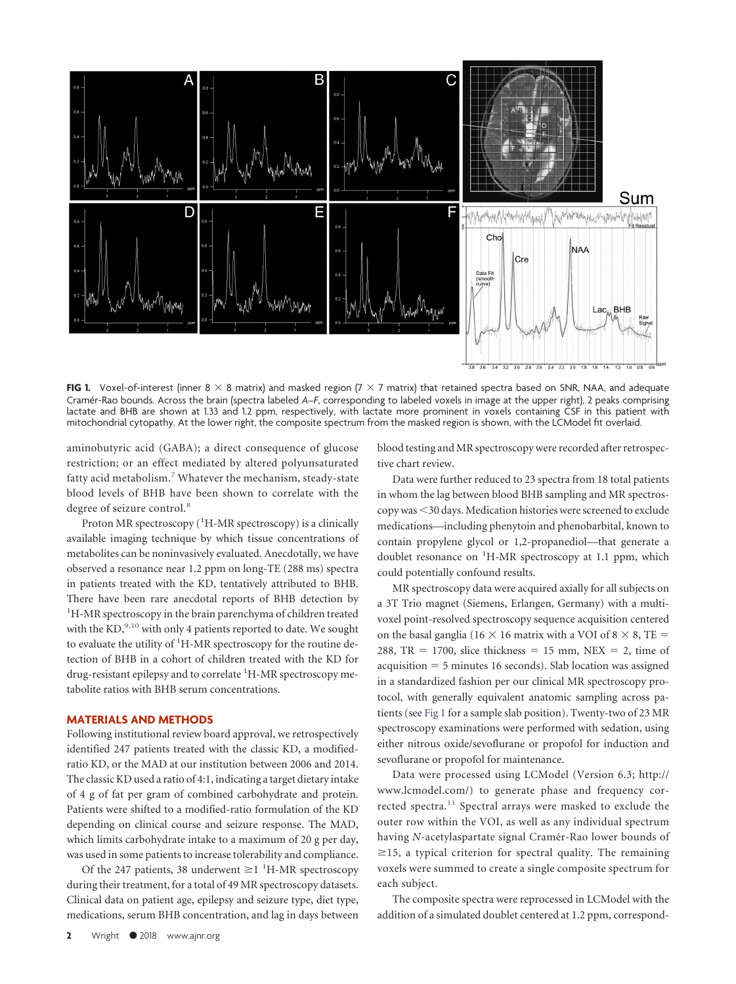<span id="page-1-0"></span>

**FIG 1.** Voxel-of-interest (inner  $8 \times 8$  matrix) and masked region  $7 \times 7$  matrix) that retained spectra based on SNR, NAA, and adequate Crame´r-Rao bounds. Across the brain (spectra labeled *A*–*F*, corresponding to labeled voxels in image at the upper right), 2 peaks comprising lactate and BHB are shown at 1.33 and 1.2 ppm, respectively, with lactate more prominent in voxels containing CSF in this patient with mitochondrial cytopathy. At the lower right, the composite spectrum from the masked region is shown, with the LCModel fit overlaid.

aminobutyric acid (GABA); a direct consequence of glucose restriction; or an effect mediated by altered polyunsaturated fatty acid metabolism.<sup>[7](#page-4-6)</sup> Whatever the mechanism, steady-state blood levels of BHB have been shown to correlate with the degree of seizure control.<sup>[8](#page-4-7)</sup>

Proton MR spectroscopy (<sup>1</sup>H-MR spectroscopy) is a clinically available imaging technique by which tissue concentrations of metabolites can be noninvasively evaluated. Anecdotally, we have observed a resonance near 1.2 ppm on long-TE (288 ms) spectra in patients treated with the KD, tentatively attributed to BHB. There have been rare anecdotal reports of BHB detection by <sup>1</sup>H-MR spectroscopy in the brain parenchyma of children treated with the KD,  $^{9,10}$  $^{9,10}$  $^{9,10}$  with only 4 patients reported to date. We sought to evaluate the utility of <sup>1</sup>H-MR spectroscopy for the routine detection of BHB in a cohort of children treated with the KD for drug-resistant epilepsy and to correlate <sup>1</sup>H-MR spectroscopy metabolite ratios with BHB serum concentrations.

### **MATERIALS AND METHODS**

Following institutional review board approval, we retrospectively identified 247 patients treated with the classic KD, a modifiedratio KD, or the MAD at our institution between 2006 and 2014. The classic KD used a ratio of 4:1, indicating a target dietary intake of 4 g of fat per gram of combined carbohydrate and protein. Patients were shifted to a modified-ratio formulation of the KD depending on clinical course and seizure response. The MAD, which limits carbohydrate intake to a maximum of 20 g per day, was used in some patients to increase tolerability and compliance.

Of the 247 patients, 38 underwent  $\geq 1$  <sup>1</sup>H-MR spectroscopy during their treatment, for a total of 49 MR spectroscopy datasets. Clinical data on patient age, epilepsy and seizure type, diet type, medications, serum BHB concentration, and lag in days between blood testing and MR spectroscopy were recorded after retrospective chart review.

Data were further reduced to 23 spectra from 18 total patients in whom the lag between blood BHB sampling and MR spectroscopy was 30 days. Medication histories were screened to exclude medications—including phenytoin and phenobarbital, known to contain propylene glycol or 1,2-propanediol—that generate a doublet resonance on <sup>1</sup>H-MR spectroscopy at 1.1 ppm, which could potentially confound results.

MR spectroscopy data were acquired axially for all subjects on a 3T Trio magnet (Siemens, Erlangen, Germany) with a multivoxel point-resolved spectroscopy sequence acquisition centered on the basal ganglia (16  $\times$  16 matrix with a VOI of 8  $\times$  8, TE =  $288$ , TR = 1700, slice thickness = 15 mm, NEX = 2, time of acquisition = 5 minutes 16 seconds). Slab location was assigned in a standardized fashion per our clinical MR spectroscopy protocol, with generally equivalent anatomic sampling across patients (see [Fig 1](#page-1-0) for a sample slab position). Twenty-two of 23 MR spectroscopy examinations were performed with sedation, using either nitrous oxide/sevoflurane or propofol for induction and sevoflurane or propofol for maintenance.

Data were processed using LCModel (Version 6.3; http:// www.lcmodel.com/) to generate phase and frequency cor-rected spectra.<sup>[11](#page-4-10)</sup> Spectral arrays were masked to exclude the outer row within the VOI, as well as any individual spectrum having *N*-acetylaspartate signal Cramér-Rao lower bounds of  $\geq$ 15, a typical criterion for spectral quality. The remaining voxels were summed to create a single composite spectrum for each subject.

The composite spectra were reprocessed in LCModel with the addition of a simulated doublet centered at 1.2 ppm, correspond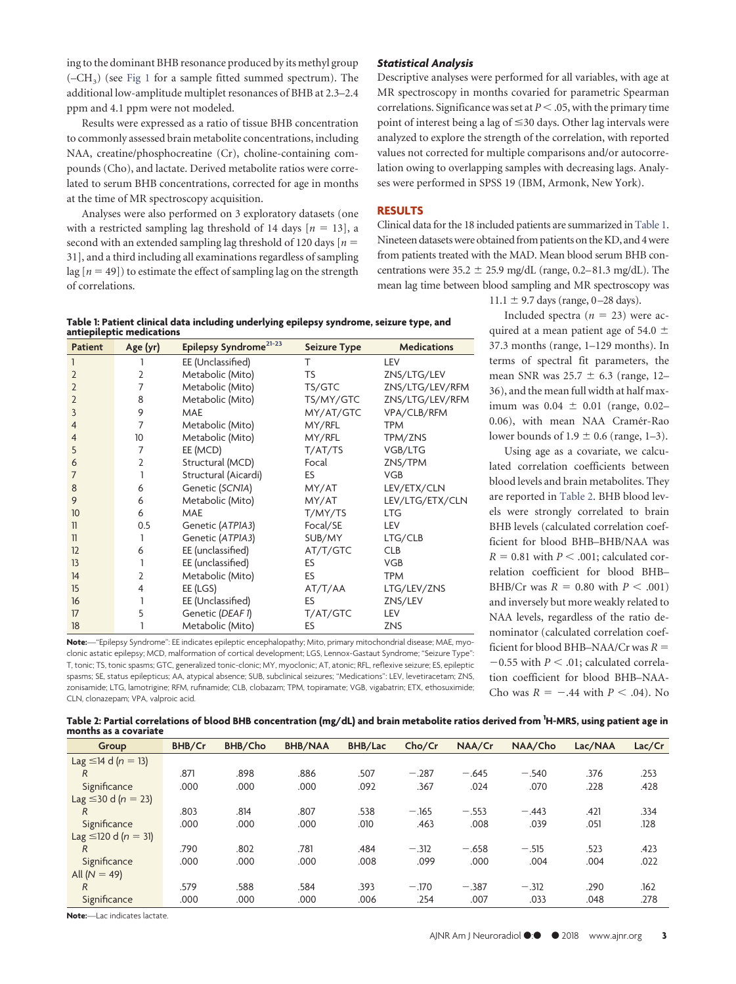ing to the dominant BHB resonance produced by its methyl group  $(-CH<sub>3</sub>)$  (see [Fig 1](#page-1-0) for a sample fitted summed spectrum). The additional low-amplitude multiplet resonances of BHB at 2.3–2.4 ppm and 4.1 ppm were not modeled.

Results were expressed as a ratio of tissue BHB concentration to commonly assessed brain metabolite concentrations, including NAA, creatine/phosphocreatine (Cr), choline-containing compounds (Cho), and lactate. Derived metabolite ratios were correlated to serum BHB concentrations, corrected for age in months at the time of MR spectroscopy acquisition.

Analyses were also performed on 3 exploratory datasets (one with a restricted sampling lag threshold of 14 days  $[n = 13]$ , a second with an extended sampling lag threshold of 120 days  $[n = 1]$ 31], and a third including all examinations regardless of sampling lag  $[n = 49]$ ) to estimate the effect of sampling lag on the strength of correlations.

# *Statistical Analysis*

Descriptive analyses were performed for all variables, with age at MR spectroscopy in months covaried for parametric Spearman correlations. Significance was set at  $P < .05$ , with the primary time point of interest being a lag of  $\leq$  30 days. Other lag intervals were analyzed to explore the strength of the correlation, with reported values not corrected for multiple comparisons and/or autocorrelation owing to overlapping samples with decreasing lags. Analyses were performed in SPSS 19 (IBM, Armonk, New York).

#### **RESULTS**

Clinical data for the 18 included patients are summarized in [Table 1.](#page-2-0) Nineteen datasets were obtained from patients on the KD, and 4 were from patients treated with the MAD. Mean blood serum BHB concentrations were  $35.2 \pm 25.9$  mg/dL (range, 0.2–81.3 mg/dL). The mean lag time between blood sampling and MR spectroscopy was

<span id="page-2-0"></span>

|                           | Table 1: Patient clinical data including underlying epilepsy syndrome, seizure type, and |  |
|---------------------------|------------------------------------------------------------------------------------------|--|
| antiepileptic medications |                                                                                          |  |

| <b>Patient</b>          | Age (yr)        | Epilepsy Syndrome <sup>21-23</sup> | <b>Seizure Type</b> | <b>Medications</b> |
|-------------------------|-----------------|------------------------------------|---------------------|--------------------|
| 1                       |                 | EE (Unclassified)                  | т                   | LEV                |
| $\overline{2}$          | $\overline{2}$  | Metabolic (Mito)                   | TS                  | ZNS/LTG/LEV        |
| $\overline{2}$          | 7               | Metabolic (Mito)                   | TS/GTC              | ZNS/LTG/LEV/RFM    |
| $\overline{2}$          | 8               | Metabolic (Mito)                   | TS/MY/GTC           | ZNS/LTG/LEV/RFM    |
| 3                       | 9               | <b>MAE</b>                         | MY/AT/GTC           | VPA/CLB/RFM        |
| $\overline{4}$          | 7               | Metabolic (Mito)                   | MY/RFL              | <b>TPM</b>         |
| $\overline{4}$          | 10 <sup>°</sup> | Metabolic (Mito)                   | MY/RFL              | TPM/ZNS            |
| 5                       | 7               | EE (MCD)                           | T/AT/TS             | VGB/LTG            |
| 6                       | 2               | Structural (MCD)                   | Focal               | ZNS/TPM            |
| 7                       |                 | Structural (Aicardi)               | ES                  | <b>VGB</b>         |
| 8                       | 6               | Genetic (SCNIA)                    | MY/AT               | LEV/ETX/CLN        |
| 9                       | 6               | Metabolic (Mito)                   | MY/AT               | LEV/LTG/ETX/CLN    |
| 10                      | 6               | <b>MAE</b>                         | T/MY/TS             | <b>LTG</b>         |
| $\overline{\mathbf{1}}$ | 0.5             | Genetic (ATPIA3)                   | Focal/SE            | LEV                |
| $\mathbb{1}$            | 1               | Genetic (ATPIA3)                   | SUB/MY              | LTG/CLB            |
| 12                      | 6               | EE (unclassified)                  | AT/T/GTC            | <b>CLB</b>         |
| 13                      |                 | EE (unclassified)                  | ES                  | VGB                |
| 14                      | 2               | Metabolic (Mito)                   | <b>ES</b>           | <b>TPM</b>         |
| 15                      | 4               | EE (LGS)                           | AT/T/AA             | LTG/LEV/ZNS        |
| 16                      |                 | EE (Unclassified)                  | ES                  | ZNS/LEV            |
| 17                      | 5               | Genetic (DEAF 1)                   | T/AT/GTC            | LEV                |
| 18                      |                 | Metabolic (Mito)                   | ES                  | <b>ZNS</b>         |

**Note:**—"Epilepsy Syndrome": EE indicates epileptic encephalopathy; Mito, primary mitochondrial disease; MAE, myoclonic astatic epilepsy; MCD, malformation of cortical development; LGS, Lennox-Gastaut Syndrome; "Seizure Type": T, tonic; TS, tonic spasms; GTC, generalized tonic-clonic; MY, myoclonic; AT, atonic; RFL, reflexive seizure; ES, epileptic spasms; SE, status epilepticus; AA, atypical absence; SUB, subclinical seizures; "Medications": LEV, levetiracetam; ZNS, zonisamide; LTG, lamotrigine; RFM, rufinamide; CLB, clobazam; TPM, topiramate; VGB, vigabatrin; ETX, ethosuximide; CLN, clonazepam; VPA, valproic acid.

11.1  $\pm$  9.7 days (range, 0–28 days).

Included spectra  $(n = 23)$  were acquired at a mean patient age of 54.0  $\pm$ 37.3 months (range, 1–129 months). In terms of spectral fit parameters, the mean SNR was  $25.7 \pm 6.3$  (range, 12– 36), and the mean full width at half maximum was  $0.04 \pm 0.01$  (range, 0.02– 0.06), with mean NAA Cramér-Rao lower bounds of  $1.9 \pm 0.6$  (range, 1–3).

Using age as a covariate, we calculated correlation coefficients between blood levels and brain metabolites. They are reported in [Table 2.](#page-2-1) BHB blood levels were strongly correlated to brain BHB levels (calculated correlation coefficient for blood BHB–BHB/NAA was  $R = 0.81$  with  $P \leq .001$ ; calculated correlation coefficient for blood BHB– BHB/Cr was  $R = 0.80$  with  $P < .001$ ) and inversely but more weakly related to NAA levels, regardless of the ratio denominator (calculated correlation coefficient for blood BHB–NAA/Cr was  $R =$  $-0.55$  with  $P < .01$ ; calculated correlation coefficient for blood BHB–NAA-Cho was  $R = -.44$  with  $P < .04$ ). No

<span id="page-2-1"></span>

| Table 2: Partial correlations of blood BHB concentration (mg/dL) and brain metabolite ratios derived from <sup>1</sup> H-MRS, using patient age in |  |
|----------------------------------------------------------------------------------------------------------------------------------------------------|--|
| months as a covariate                                                                                                                              |  |

| Group                            | BHB/Cr | BHB/Cho | <b>BHB/NAA</b> | <b>BHB/Lac</b> | Cho/Cr  | NAA/Cr  | NAA/Cho | Lac/NAA | Lac/Cr |
|----------------------------------|--------|---------|----------------|----------------|---------|---------|---------|---------|--------|
| Lag $\leq$ 14 d ( <i>n</i> = 13) |        |         |                |                |         |         |         |         |        |
| R                                | .871   | .898    | .886           | .507           | $-.287$ | $-.645$ | $-.540$ | .376    | .253   |
| Significance                     | .000   | .000    | .000           | .092           | .367    | .024    | .070    | .228    | .428   |
| Lag $\leq$ 30 d ( <i>n</i> = 23) |        |         |                |                |         |         |         |         |        |
| R                                | .803   | .814    | .807           | .538           | $-.165$ | $-.553$ | $-.443$ | .421    | .334   |
| Significance                     | .000   | .000    | .000           | .010           | .463    | .008    | .039    | .051    | .128   |
| Lag $\leq 120$ d ( $n = 31$ )    |        |         |                |                |         |         |         |         |        |
| R                                | .790   | .802    | .781           | .484           | $-.312$ | $-.658$ | $-.515$ | .523    | .423   |
| Significance                     | .000   | .000    | .000           | .008           | .099    | .000    | .004    | .004    | .022   |
| All $(N = 49)$                   |        |         |                |                |         |         |         |         |        |
| R                                | .579   | .588    | 584.           | .393           | $-.170$ | $-.387$ | $-.312$ | .290    | .162   |
| Significance                     | .000   | .000    | .000           | .006           | .254    | .007    | .033    | .048    | .278   |

**Note:**—Lac indicates lactate.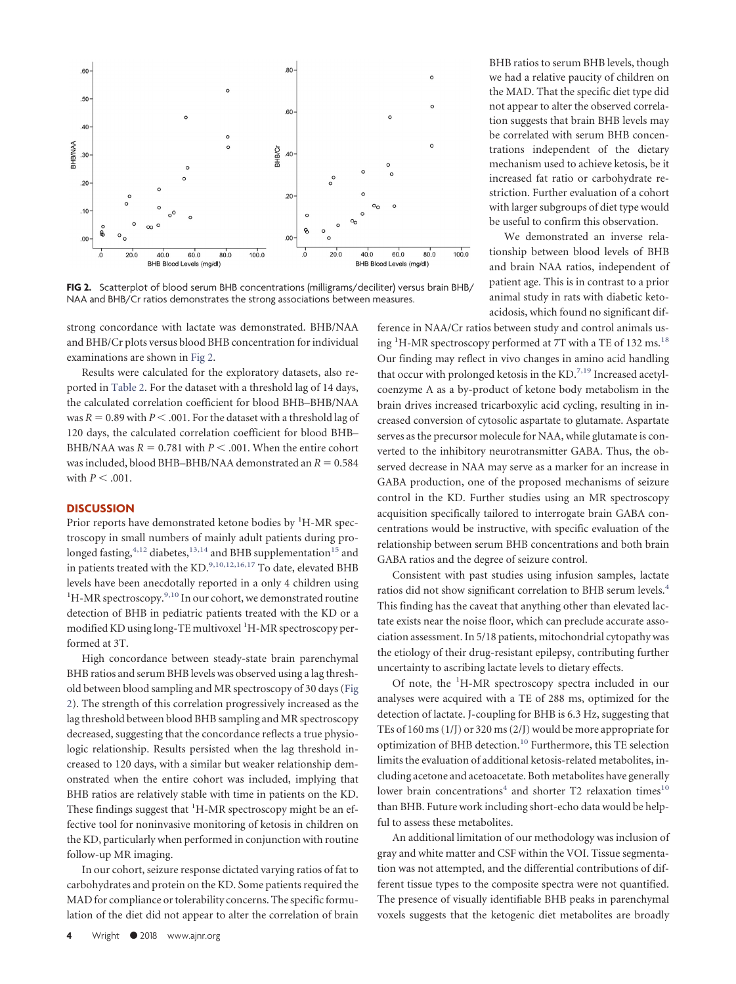<span id="page-3-0"></span>

**FIG 2.** Scatterplot of blood serum BHB concentrations (milligrams/deciliter) versus brain BHB/ NAA and BHB/Cr ratios demonstrates the strong associations between measures.

strong concordance with lactate was demonstrated. BHB/NAA and BHB/Cr plots versus blood BHB concentration for individual examinations are shown in [Fig 2.](#page-3-0)

Results were calculated for the exploratory datasets, also reported in [Table 2.](#page-2-1) For the dataset with a threshold lag of 14 days, the calculated correlation coefficient for blood BHB–BHB/NAA was  $R = 0.89$  with  $P < .001$ . For the dataset with a threshold lag of 120 days, the calculated correlation coefficient for blood BHB– BHB/NAA was  $R = 0.781$  with  $P < .001$ . When the entire cohort was included, blood BHB–BHB/NAA demonstrated an  $R = 0.584$ with  $P < .001$ .

#### **DISCUSSION**

Prior reports have demonstrated ketone bodies by <sup>1</sup>H-MR spectroscopy in small numbers of mainly adult patients during prolonged fasting, $4,12$  $4,12$  diabetes, $13,14$  $13,14$  and BHB supplementation<sup>15</sup> and in patients treated with the KD.<sup>9,10,12,16,17</sup> To date, elevated BHB levels have been anecdotally reported in a only 4 children using <sup>1</sup>H-MR spectroscopy.<sup>9,[10](#page-4-9)</sup> In our cohort, we demonstrated routine detection of BHB in pediatric patients treated with the KD or a modified KD using long-TE multivoxel <sup>1</sup>H-MR spectroscopy performed at 3T.

High concordance between steady-state brain parenchymal BHB ratios and serum BHB levels was observed using a lag threshold between blood sampling and MR spectroscopy of 30 days [\(Fig](#page-3-0) [2\)](#page-3-0). The strength of this correlation progressively increased as the lag threshold between blood BHB sampling and MR spectroscopy decreased, suggesting that the concordance reflects a true physiologic relationship. Results persisted when the lag threshold increased to 120 days, with a similar but weaker relationship demonstrated when the entire cohort was included, implying that BHB ratios are relatively stable with time in patients on the KD. These findings suggest that <sup>1</sup>H-MR spectroscopy might be an effective tool for noninvasive monitoring of ketosis in children on the KD, particularly when performed in conjunction with routine follow-up MR imaging.

In our cohort, seizure response dictated varying ratios of fat to carbohydrates and protein on the KD. Some patients required the MAD for compliance or tolerability concerns. The specific formulation of the diet did not appear to alter the correlation of brain

BHB ratios to serum BHB levels, though we had a relative paucity of children on the MAD. That the specific diet type did not appear to alter the observed correlation suggests that brain BHB levels may be correlated with serum BHB concentrations independent of the dietary mechanism used to achieve ketosis, be it increased fat ratio or carbohydrate restriction. Further evaluation of a cohort with larger subgroups of diet type would be useful to confirm this observation.

We demonstrated an inverse relationship between blood levels of BHB and brain NAA ratios, independent of patient age. This is in contrast to a prior animal study in rats with diabetic ketoacidosis, which found no significant dif-

ference in NAA/Cr ratios between study and control animals using <sup>1</sup>H-MR spectroscopy performed at 7T with a TE of 132 ms.<sup>18</sup> Our finding may reflect in vivo changes in amino acid handling that occur with prolonged ketosis in the  $KD<sup>7,19</sup>$  $KD<sup>7,19</sup>$  $KD<sup>7,19</sup>$  Increased acetylcoenzyme A as a by-product of ketone body metabolism in the brain drives increased tricarboxylic acid cycling, resulting in increased conversion of cytosolic aspartate to glutamate. Aspartate serves as the precursor molecule for NAA, while glutamate is converted to the inhibitory neurotransmitter GABA. Thus, the observed decrease in NAA may serve as a marker for an increase in GABA production, one of the proposed mechanisms of seizure control in the KD. Further studies using an MR spectroscopy acquisition specifically tailored to interrogate brain GABA concentrations would be instructive, with specific evaluation of the relationship between serum BHB concentrations and both brain GABA ratios and the degree of seizure control.

Consistent with past studies using infusion samples, lactate ratios did not show significant correlation to BHB serum levels[.4](#page-4-3) This finding has the caveat that anything other than elevated lactate exists near the noise floor, which can preclude accurate association assessment. In 5/18 patients, mitochondrial cytopathy was the etiology of their drug-resistant epilepsy, contributing further uncertainty to ascribing lactate levels to dietary effects.

Of note, the <sup>1</sup>H-MR spectroscopy spectra included in our analyses were acquired with a TE of 288 ms, optimized for the detection of lactate. J-coupling for BHB is 6.3 Hz, suggesting that TEs of 160 ms (1/J) or 320 ms (2/J) would be more appropriate for optimization of BHB detection.<sup>10</sup> Furthermore, this TE selection limits the evaluation of additional ketosis-related metabolites, including acetone and acetoacetate. Both metabolites have generally lower brain concentrations<sup>4</sup> and shorter T2 relaxation times<sup>10</sup> than BHB. Future work including short-echo data would be helpful to assess these metabolites.

An additional limitation of our methodology was inclusion of gray and white matter and CSF within the VOI. Tissue segmentation was not attempted, and the differential contributions of different tissue types to the composite spectra were not quantified. The presence of visually identifiable BHB peaks in parenchymal voxels suggests that the ketogenic diet metabolites are broadly